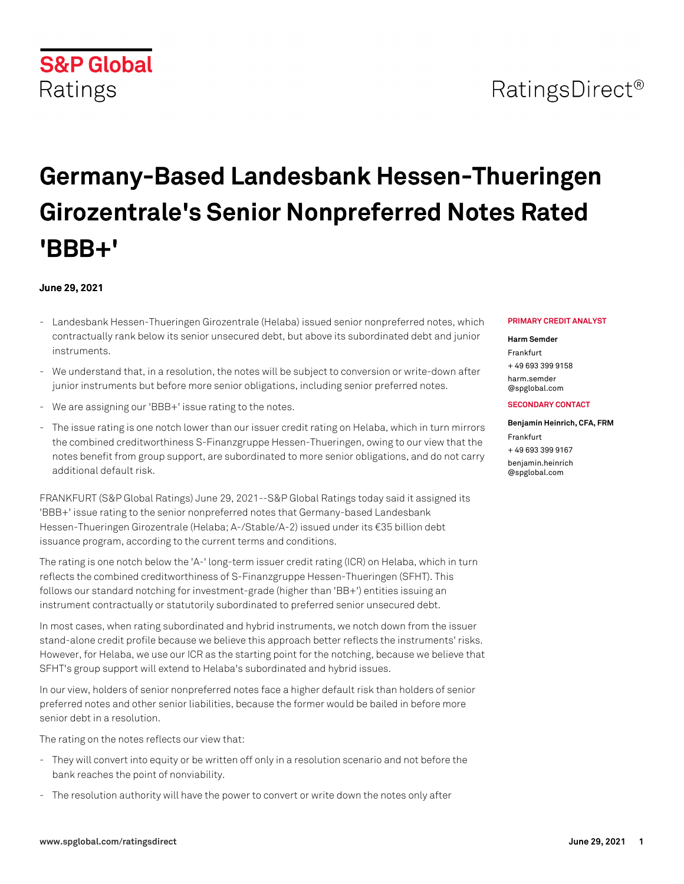# RatingsDirect<sup>®</sup>

# **Germany-Based Landesbank Hessen-Thueringen Girozentrale's Senior Nonpreferred Notes Rated 'BBB+'**

### **June 29, 2021**

- Landesbank Hessen-Thueringen Girozentrale (Helaba) issued senior nonpreferred notes, which contractually rank below its senior unsecured debt, but above its subordinated debt and junior instruments.
- We understand that, in a resolution, the notes will be subject to conversion or write-down after junior instruments but before more senior obligations, including senior preferred notes.
- We are assigning our 'BBB+' issue rating to the notes.
- The issue rating is one notch lower than our issuer credit rating on Helaba, which in turn mirrors the combined creditworthiness S-Finanzgruppe Hessen-Thueringen, owing to our view that the notes benefit from group support, are subordinated to more senior obligations, and do not carry additional default risk.

FRANKFURT (S&P Global Ratings) June 29, 2021--S&P Global Ratings today said it assigned its 'BBB+' issue rating to the senior nonpreferred notes that Germany-based Landesbank Hessen-Thueringen Girozentrale (Helaba; A-/Stable/A-2) issued under its €35 billion debt issuance program, according to the current terms and conditions.

The rating is one notch below the 'A-' long-term issuer credit rating (ICR) on Helaba, which in turn reflects the combined creditworthiness of S-Finanzgruppe Hessen-Thueringen (SFHT). This follows our standard notching for investment-grade (higher than 'BB+') entities issuing an instrument contractually or statutorily subordinated to preferred senior unsecured debt.

In most cases, when rating subordinated and hybrid instruments, we notch down from the issuer stand-alone credit profile because we believe this approach better reflects the instruments' risks. However, for Helaba, we use our ICR as the starting point for the notching, because we believe that SFHT's group support will extend to Helaba's subordinated and hybrid issues.

In our view, holders of senior nonpreferred notes face a higher default risk than holders of senior preferred notes and other senior liabilities, because the former would be bailed in before more senior debt in a resolution.

The rating on the notes reflects our view that:

- They will convert into equity or be written off only in a resolution scenario and not before the bank reaches the point of nonviability.
- The resolution authority will have the power to convert or write down the notes only after

#### **PRIMARY CREDIT ANALYST**

#### **Harm Semder**

Frankfurt + 49 693 399 9158 harm comder [@spglobal.com](mailto: harm.semder@spglobal.com)

#### **SECONDARY CONTACT**

### **Benjamin Heinrich, CFA, FRM** Frankfurt + 49 693 399 9167

[benjamin.heinrich](mailto: benjamin.heinrich@spglobal.com) [@spglobal.com](mailto: benjamin.heinrich@spglobal.com)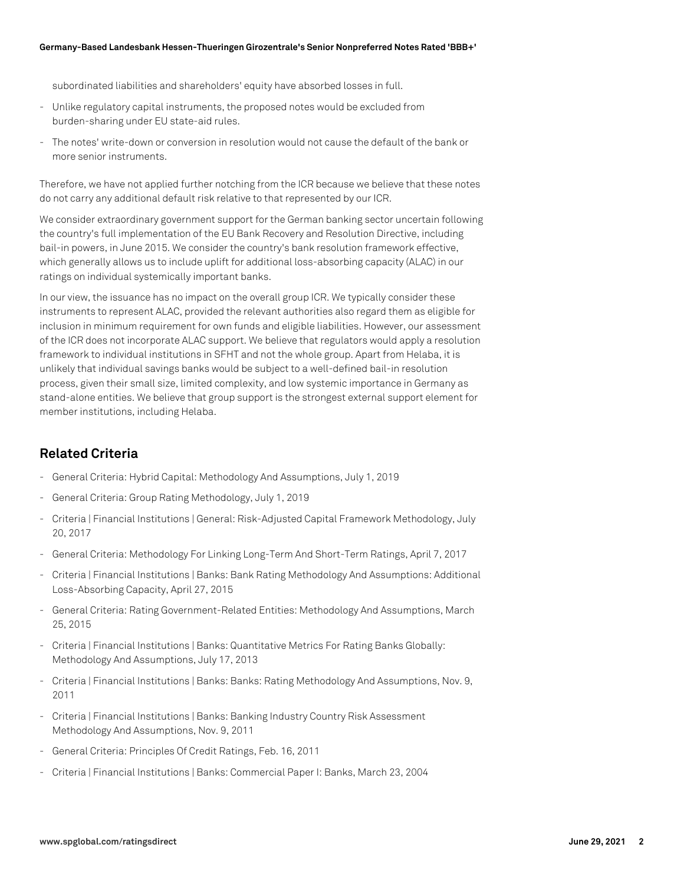subordinated liabilities and shareholders' equity have absorbed losses in full.

- Unlike regulatory capital instruments, the proposed notes would be excluded from burden-sharing under EU state-aid rules.
- The notes' write-down or conversion in resolution would not cause the default of the bank or more senior instruments.

Therefore, we have not applied further notching from the ICR because we believe that these notes do not carry any additional default risk relative to that represented by our ICR.

We consider extraordinary government support for the German banking sector uncertain following the country's full implementation of the EU Bank Recovery and Resolution Directive, including bail-in powers, in June 2015. We consider the country's bank resolution framework effective, which generally allows us to include uplift for additional loss-absorbing capacity (ALAC) in our ratings on individual systemically important banks.

In our view, the issuance has no impact on the overall group ICR. We typically consider these instruments to represent ALAC, provided the relevant authorities also regard them as eligible for inclusion in minimum requirement for own funds and eligible liabilities. However, our assessment of the ICR does not incorporate ALAC support. We believe that regulators would apply a resolution framework to individual institutions in SFHT and not the whole group. Apart from Helaba, it is unlikely that individual savings banks would be subject to a well-defined bail-in resolution process, given their small size, limited complexity, and low systemic importance in Germany as stand-alone entities. We believe that group support is the strongest external support element for member institutions, including Helaba.

## **Related Criteria**

- General Criteria: Hybrid Capital: Methodology And Assumptions, July 1, 2019
- General Criteria: Group Rating Methodology, July 1, 2019
- Criteria | Financial Institutions | General: Risk-Adjusted Capital Framework Methodology, July 20, 2017
- General Criteria: Methodology For Linking Long-Term And Short-Term Ratings, April 7, 2017
- Criteria | Financial Institutions | Banks: Bank Rating Methodology And Assumptions: Additional Loss-Absorbing Capacity, April 27, 2015
- General Criteria: Rating Government-Related Entities: Methodology And Assumptions, March 25, 2015
- Criteria | Financial Institutions | Banks: Quantitative Metrics For Rating Banks Globally: Methodology And Assumptions, July 17, 2013
- Criteria | Financial Institutions | Banks: Banks: Rating Methodology And Assumptions, Nov. 9, 2011
- Criteria | Financial Institutions | Banks: Banking Industry Country Risk Assessment Methodology And Assumptions, Nov. 9, 2011
- General Criteria: Principles Of Credit Ratings, Feb. 16, 2011
- Criteria | Financial Institutions | Banks: Commercial Paper I: Banks, March 23, 2004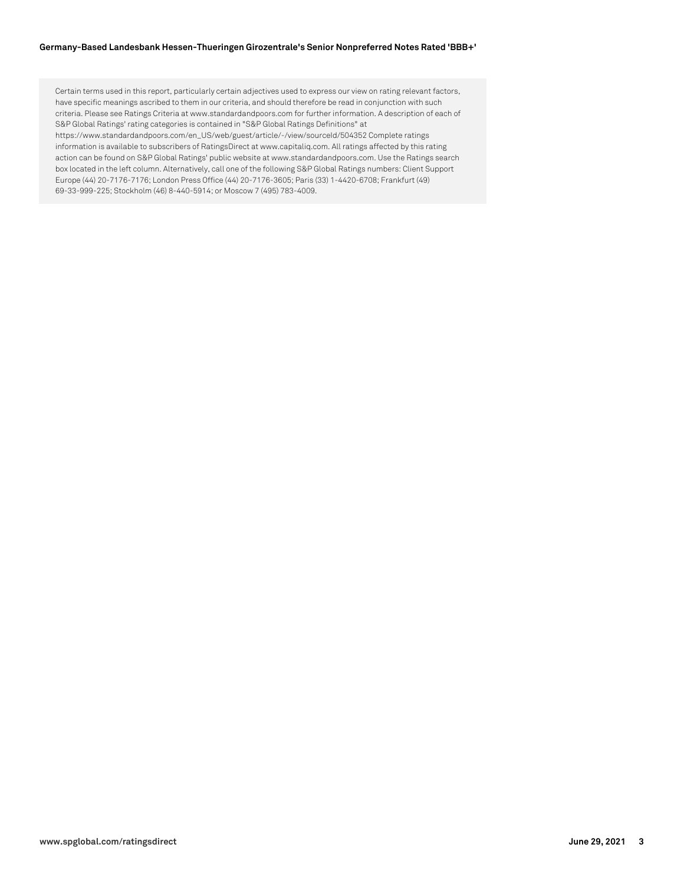#### **Germany-Based Landesbank Hessen-Thueringen Girozentrale's Senior Nonpreferred Notes Rated 'BBB+'**

Certain terms used in this report, particularly certain adjectives used to express our view on rating relevant factors, have specific meanings ascribed to them in our criteria, and should therefore be read in conjunction with such criteria. Please see Ratings Criteria at www.standardandpoors.com for further information. A description of each of S&P Global Ratings' rating categories is contained in "S&P Global Ratings Definitions" at https://www.standardandpoors.com/en\_US/web/guest/article/-/view/sourceId/504352 Complete ratings information is available to subscribers of RatingsDirect at www.capitaliq.com. All ratings affected by this rating action can be found on S&P Global Ratings' public website at www.standardandpoors.com. Use the Ratings search box located in the left column. Alternatively, call one of the following S&P Global Ratings numbers: Client Support Europe (44) 20-7176-7176; London Press Office (44) 20-7176-3605; Paris (33) 1-4420-6708; Frankfurt (49) 69-33-999-225; Stockholm (46) 8-440-5914; or Moscow 7 (495) 783-4009.